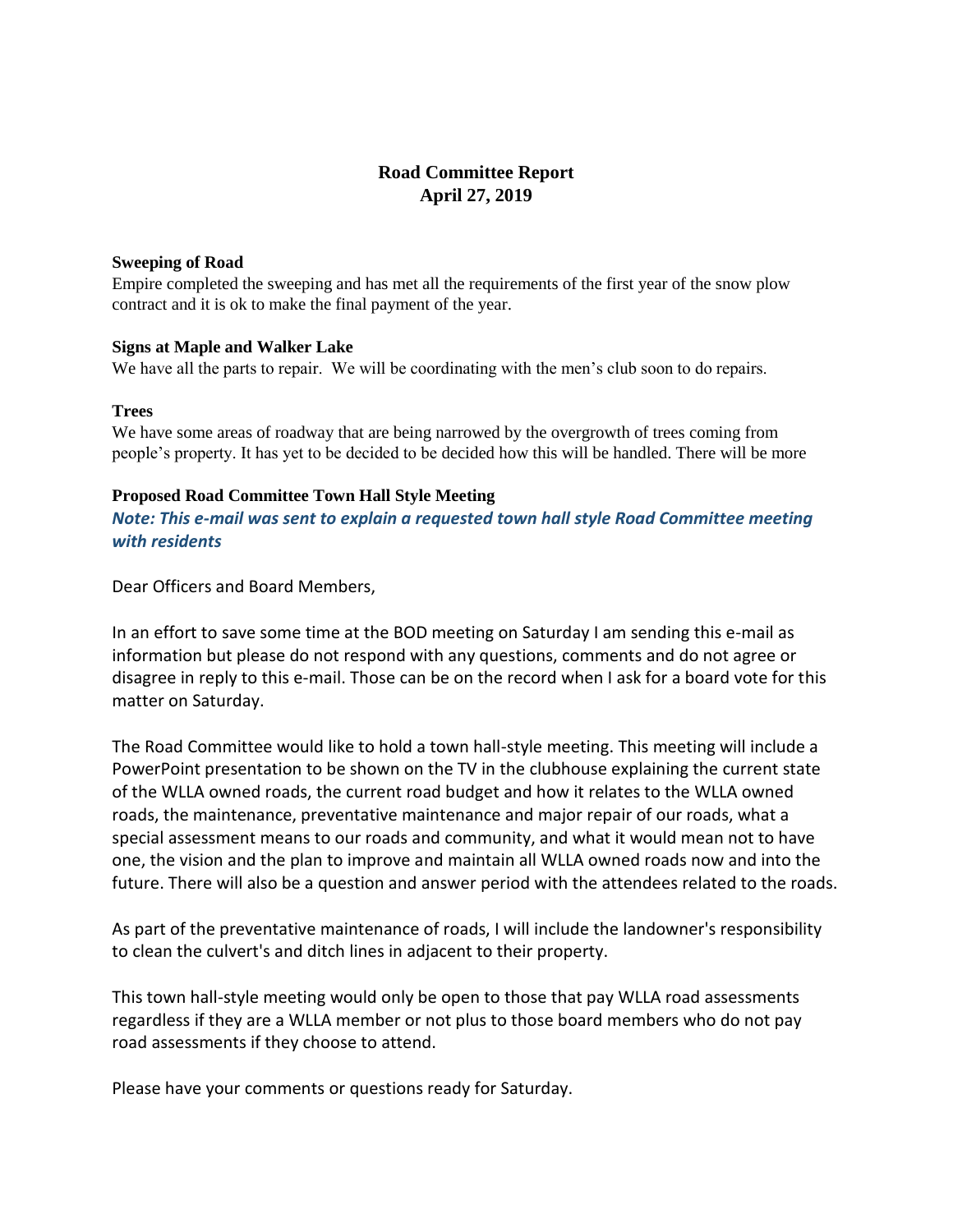# **Road Committee Report April 27, 2019**

#### **Sweeping of Road**

Empire completed the sweeping and has met all the requirements of the first year of the snow plow contract and it is ok to make the final payment of the year.

#### **Signs at Maple and Walker Lake**

We have all the parts to repair. We will be coordinating with the men's club soon to do repairs.

#### **Trees**

We have some areas of roadway that are being narrowed by the overgrowth of trees coming from people's property. It has yet to be decided to be decided how this will be handled. There will be more

#### **Proposed Road Committee Town Hall Style Meeting**

*Note: This e-mail was sent to explain a requested town hall style Road Committee meeting with residents*

Dear Officers and Board Members,

In an effort to save some time at the BOD meeting on Saturday I am sending this e-mail as information but please do not respond with any questions, comments and do not agree or disagree in reply to this e-mail. Those can be on the record when I ask for a board vote for this matter on Saturday.

The Road Committee would like to hold a town hall-style meeting. This meeting will include a PowerPoint presentation to be shown on the TV in the clubhouse explaining the current state of the WLLA owned roads, the current road budget and how it relates to the WLLA owned roads, the maintenance, preventative maintenance and major repair of our roads, what a special assessment means to our roads and community, and what it would mean not to have one, the vision and the plan to improve and maintain all WLLA owned roads now and into the future. There will also be a question and answer period with the attendees related to the roads.

As part of the preventative maintenance of roads, I will include the landowner's responsibility to clean the culvert's and ditch lines in adjacent to their property.

This town hall-style meeting would only be open to those that pay WLLA road assessments regardless if they are a WLLA member or not plus to those board members who do not pay road assessments if they choose to attend.

Please have your comments or questions ready for Saturday.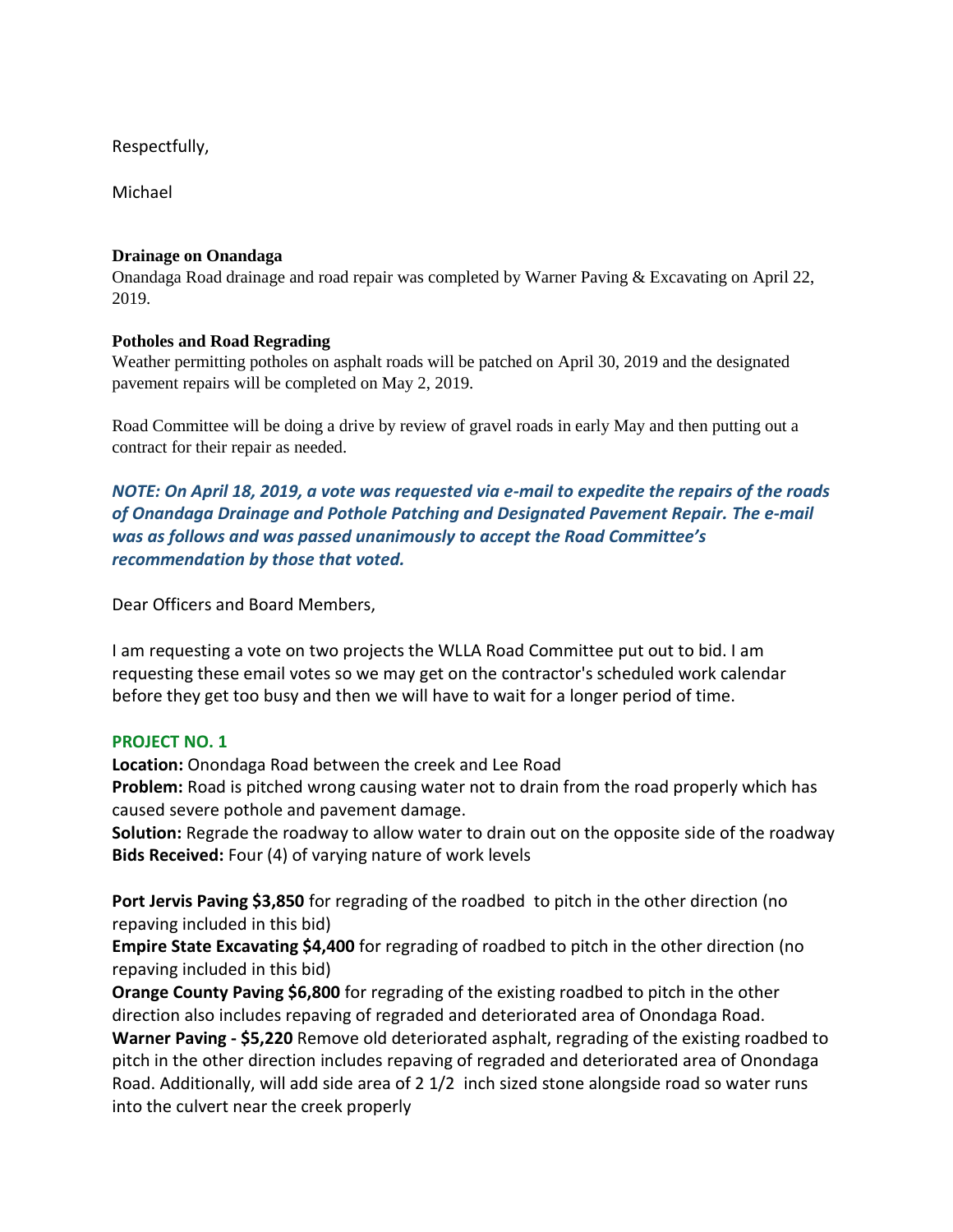Respectfully,

Michael

## **Drainage on Onandaga**

Onandaga Road drainage and road repair was completed by Warner Paving & Excavating on April 22, 2019.

## **Potholes and Road Regrading**

Weather permitting potholes on asphalt roads will be patched on April 30, 2019 and the designated pavement repairs will be completed on May 2, 2019.

Road Committee will be doing a drive by review of gravel roads in early May and then putting out a contract for their repair as needed.

*NOTE: On April 18, 2019, a vote was requested via e-mail to expedite the repairs of the roads of Onandaga Drainage and Pothole Patching and Designated Pavement Repair. The e-mail was as follows and was passed unanimously to accept the Road Committee's recommendation by those that voted.*

Dear Officers and Board Members,

I am requesting a vote on two projects the WLLA Road Committee put out to bid. I am requesting these email votes so we may get on the contractor's scheduled work calendar before they get too busy and then we will have to wait for a longer period of time.

## **PROJECT NO. 1**

**Location:** Onondaga Road between the creek and Lee Road

**Problem:** Road is pitched wrong causing water not to drain from the road properly which has caused severe pothole and pavement damage.

**Solution:** Regrade the roadway to allow water to drain out on the opposite side of the roadway **Bids Received:** Four (4) of varying nature of work levels

**Port Jervis Paving \$3,850** for regrading of the roadbed to pitch in the other direction (no repaving included in this bid)

**Empire State Excavating \$4,400** for regrading of roadbed to pitch in the other direction (no repaving included in this bid)

**Orange County Paving \$6,800** for regrading of the existing roadbed to pitch in the other direction also includes repaving of regraded and deteriorated area of Onondaga Road.

**Warner Paving - \$5,220** Remove old deteriorated asphalt, regrading of the existing roadbed to pitch in the other direction includes repaving of regraded and deteriorated area of Onondaga Road. Additionally, will add side area of 2 1/2 inch sized stone alongside road so water runs into the culvert near the creek properly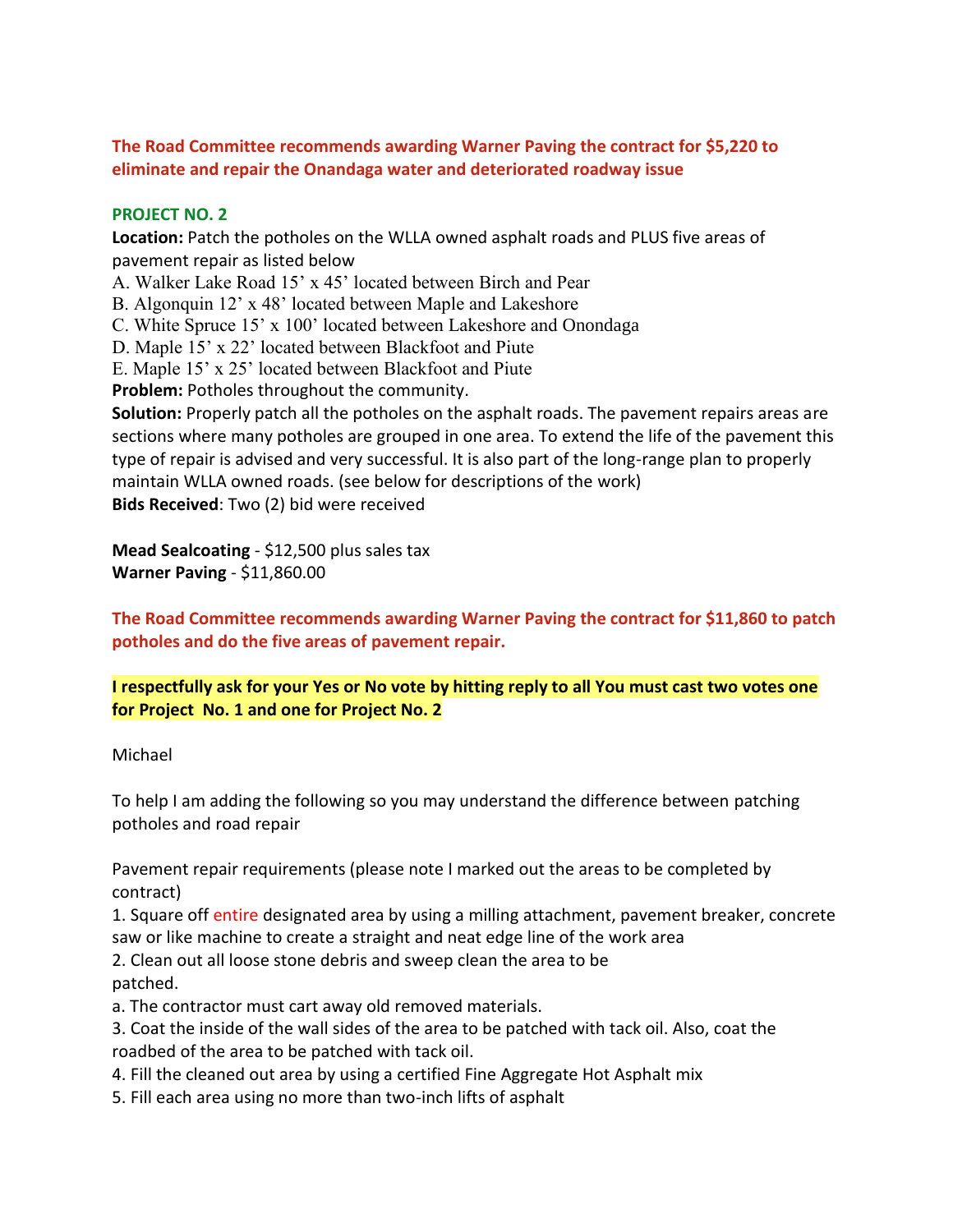**The Road Committee recommends awarding Warner Paving the contract for \$5,220 to eliminate and repair the Onandaga water and deteriorated roadway issue** 

## **PROJECT NO. 2**

**Location:** Patch the potholes on the WLLA owned asphalt roads and PLUS five areas of pavement repair as listed below

A. Walker Lake Road 15' x 45' located between Birch and Pear

B. Algonquin 12' x 48' located between Maple and Lakeshore

C. White Spruce 15' x 100' located between Lakeshore and Onondaga

D. Maple 15' x 22' located between Blackfoot and Piute

E. Maple 15' x 25' located between Blackfoot and Piute

**Problem:** Potholes throughout the community.

**Solution:** Properly patch all the potholes on the asphalt roads. The pavement repairs areas are sections where many potholes are grouped in one area. To extend the life of the pavement this type of repair is advised and very successful. It is also part of the long-range plan to properly maintain WLLA owned roads. (see below for descriptions of the work) **Bids Received**: Two (2) bid were received

**Mead Sealcoating** - \$12,500 plus sales tax **Warner Paving** - \$11,860.00

**The Road Committee recommends awarding Warner Paving the contract for \$11,860 to patch potholes and do the five areas of pavement repair.**

**I respectfully ask for your Yes or No vote by hitting reply to all You must cast two votes one for Project No. 1 and one for Project No. 2**

#### Michael

To help I am adding the following so you may understand the difference between patching potholes and road repair

Pavement repair requirements (please note I marked out the areas to be completed by contract)

1. Square off entire designated area by using a milling attachment, pavement breaker, concrete saw or like machine to create a straight and neat edge line of the work area

2. Clean out all loose stone debris and sweep clean the area to be patched.

a. The contractor must cart away old removed materials.

- 3. Coat the inside of the wall sides of the area to be patched with tack oil. Also, coat the roadbed of the area to be patched with tack oil.
- 4. Fill the cleaned out area by using a certified Fine Aggregate Hot Asphalt mix
- 5. Fill each area using no more than two-inch lifts of asphalt